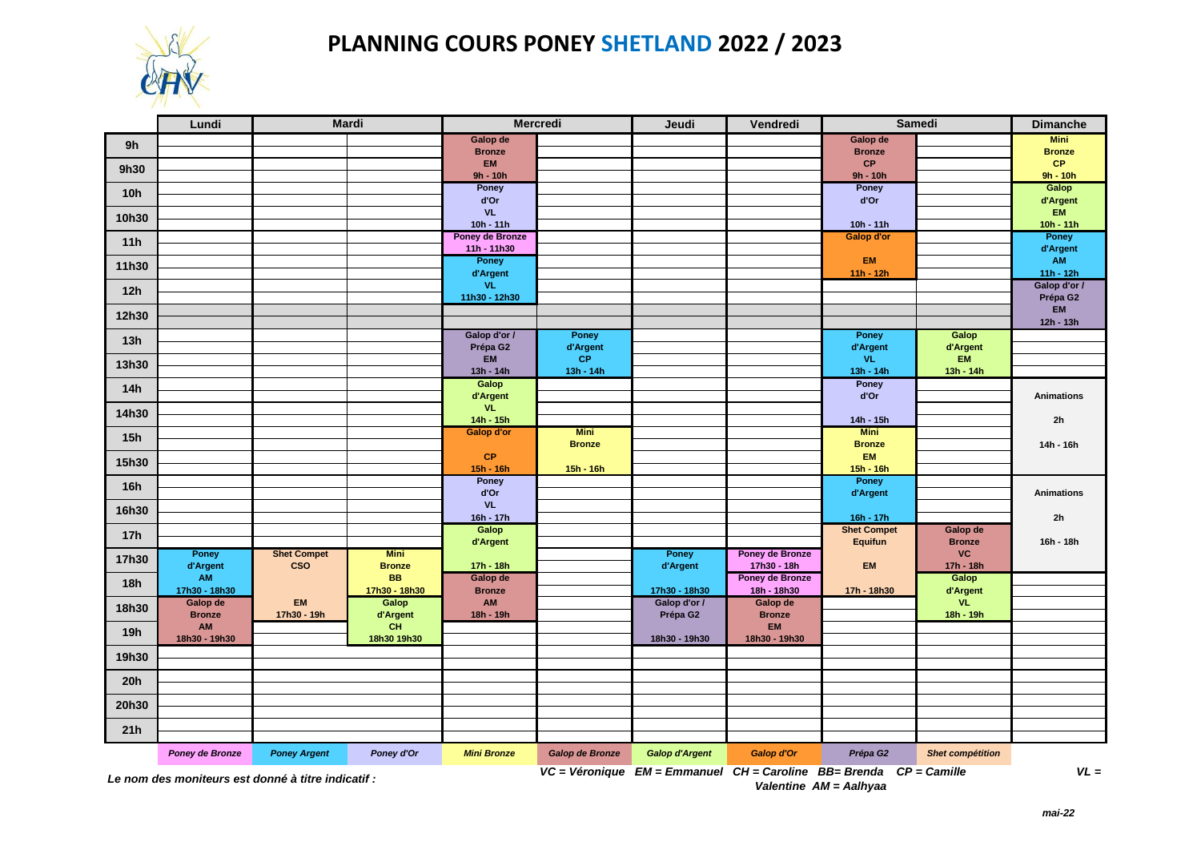

## **PLANNING COURS PONEY SHETLAND 2022 / 2023**

|                                                | Lundi                     |                                             | Mardi             |                                | <b>Mercredi</b> | Jeudi                    | Vendredi                  |                                                                               | Samedi                  | <b>Dimanche</b>             |
|------------------------------------------------|---------------------------|---------------------------------------------|-------------------|--------------------------------|-----------------|--------------------------|---------------------------|-------------------------------------------------------------------------------|-------------------------|-----------------------------|
| 9h                                             |                           |                                             |                   | Galop de                       |                 |                          |                           | Galop de                                                                      |                         | <b>Mini</b>                 |
|                                                |                           |                                             |                   | <b>Bronze</b>                  |                 |                          |                           | <b>Bronze</b>                                                                 |                         | <b>Bronze</b>               |
| 9h30                                           |                           |                                             |                   | EM<br>$9h - 10h$               |                 |                          |                           | CP<br>$9h - 10h$                                                              |                         | CP<br>$9h - 10h$            |
|                                                |                           |                                             |                   | Poney                          |                 |                          |                           | Poney                                                                         |                         | Galop                       |
| 10 <sub>h</sub>                                |                           |                                             |                   | d'Or                           |                 |                          |                           | d'Or                                                                          |                         | d'Argent                    |
| 10h30                                          |                           |                                             |                   | <b>VL</b>                      |                 |                          |                           |                                                                               |                         | <b>EM</b>                   |
|                                                |                           |                                             |                   | $10h - 11h$                    |                 |                          |                           | $10h - 11h$                                                                   |                         | $10h - 11h$                 |
| 11h                                            |                           |                                             |                   | Poney de Bronze<br>11h - 11h30 |                 |                          |                           | <b>Galop d'or</b>                                                             |                         | Poney<br>d'Argent           |
| 11h30                                          |                           |                                             |                   | Poney                          |                 |                          |                           | <b>EM</b>                                                                     |                         | AM                          |
|                                                |                           |                                             |                   | d'Argent<br>VL.                |                 |                          |                           | $11h - 12h$                                                                   |                         | $11h - 12h$<br>Galop d'or / |
| 12h                                            |                           |                                             |                   | 11h30 - 12h30                  |                 |                          |                           |                                                                               |                         | Prépa G2                    |
| 12h30                                          |                           |                                             |                   |                                |                 |                          |                           |                                                                               |                         | <b>EM</b>                   |
|                                                |                           |                                             |                   |                                |                 |                          |                           |                                                                               |                         | 12h - 13h                   |
| 13h                                            |                           |                                             |                   | Galop d'or /                   | <b>Poney</b>    |                          |                           | Poney                                                                         | Galop                   |                             |
|                                                |                           |                                             |                   | Prépa G2<br><b>EM</b>          | d'Argent<br>CP  |                          |                           | d'Argent<br>VL.                                                               | d'Argent<br><b>EM</b>   |                             |
| 13h30                                          |                           |                                             |                   | 13h - 14h                      | $13h - 14h$     |                          |                           | $13h - 14h$                                                                   | $13h - 14h$             |                             |
| 14h                                            |                           |                                             |                   | Galop                          |                 |                          |                           | <b>Poney</b>                                                                  |                         |                             |
|                                                |                           |                                             |                   | d'Argent                       |                 |                          |                           | d'Or                                                                          |                         | <b>Animations</b>           |
| 14h30                                          |                           |                                             |                   | VL.<br>$14h - 15h$             |                 |                          |                           | 14h - 15h                                                                     |                         | 2 <sub>h</sub>              |
|                                                |                           |                                             |                   | <b>Galop d'or</b>              | <b>Mini</b>     |                          |                           | <b>Mini</b>                                                                   |                         |                             |
| 15h                                            |                           |                                             |                   |                                | <b>Bronze</b>   |                          |                           | <b>Bronze</b>                                                                 |                         | 14h - 16h                   |
| 15h30                                          |                           |                                             |                   | <b>CP</b>                      |                 |                          |                           | <b>EM</b>                                                                     |                         |                             |
|                                                |                           |                                             |                   | 15h - 16h                      | $15h - 16h$     |                          |                           | $15h - 16h$                                                                   |                         |                             |
| 16h                                            |                           |                                             |                   | Poney<br>d'Or                  |                 |                          |                           | Poney<br>d'Argent                                                             |                         | <b>Animations</b>           |
|                                                |                           |                                             |                   | <b>VL</b>                      |                 |                          |                           |                                                                               |                         |                             |
| 16h30                                          |                           |                                             |                   | 16h - 17h                      |                 |                          |                           | 16h - 17h                                                                     |                         | 2h                          |
| 17h                                            |                           |                                             |                   | Galop                          |                 |                          |                           | <b>Shet Compet</b>                                                            | Galop de                |                             |
|                                                | Poney                     | <b>Shet Compet</b>                          | <b>Mini</b>       | d'Argent                       |                 | Poney                    | Poney de Bronze           | <b>Equifun</b>                                                                | <b>Bronze</b><br>VC     | 16h - 18h                   |
| 17h30                                          | d'Argent                  | <b>CSO</b>                                  | <b>Bronze</b>     | $17h - 18h$                    |                 | d'Argent                 | 17h30 - 18h               | <b>EM</b>                                                                     | 17h - 18h               |                             |
| <b>18h</b>                                     | AM                        |                                             | <b>BB</b>         | Galop de                       |                 |                          | Poney de Bronze           |                                                                               | Galop                   |                             |
|                                                | 17h30 - 18h30             |                                             | 17h30 - 18h30     | <b>Bronze</b>                  |                 | 17h30 - 18h30            | 18h - 18h30               | 17h - 18h30                                                                   | d'Argent                |                             |
| 18h30                                          | Galop de<br><b>Bronze</b> | EM<br>17h30 - 19h                           | Galop<br>d'Argent | <b>AM</b><br>18h - 19h         |                 | Galop d'or /<br>Prépa G2 | Galop de<br><b>Bronze</b> |                                                                               | <b>VL</b><br>18h - 19h  |                             |
| <b>19h</b>                                     | AM                        |                                             | <b>CH</b>         |                                |                 |                          | <b>EM</b>                 |                                                                               |                         |                             |
|                                                | 18h30 - 19h30             |                                             | 18h30 19h30       |                                |                 | 18h30 - 19h30            | 18h30 - 19h30             |                                                                               |                         |                             |
| 19h30                                          |                           |                                             |                   |                                |                 |                          |                           |                                                                               |                         |                             |
| 20h                                            |                           |                                             |                   |                                |                 |                          |                           |                                                                               |                         |                             |
| 20h30                                          |                           |                                             |                   |                                |                 |                          |                           |                                                                               |                         |                             |
| 21h                                            |                           |                                             |                   |                                |                 |                          |                           |                                                                               |                         |                             |
|                                                | Poney de Bronze           | <b>Poney Argent</b>                         | Poney d'Or        | <b>Mini Bronze</b>             | Galop de Bronze | <b>Galop d'Argent</b>    | Galop d'Or                | Prépa G2                                                                      | <b>Shet compétition</b> |                             |
| $\mathbf{I}$ and $\mathbf{I}$ and $\mathbf{I}$ |                           | and the compact of interest the attacked to |                   |                                |                 |                          |                           | $VC = Véronique$ $EM = Emmanuel$ $CH = Carolina$ $BB = Brenda$ $CP = Camille$ |                         | $VL =$                      |

*Le nom des moniteurs est donné à titre indicatif :* 

*Valentine AM = Aalhyaa*